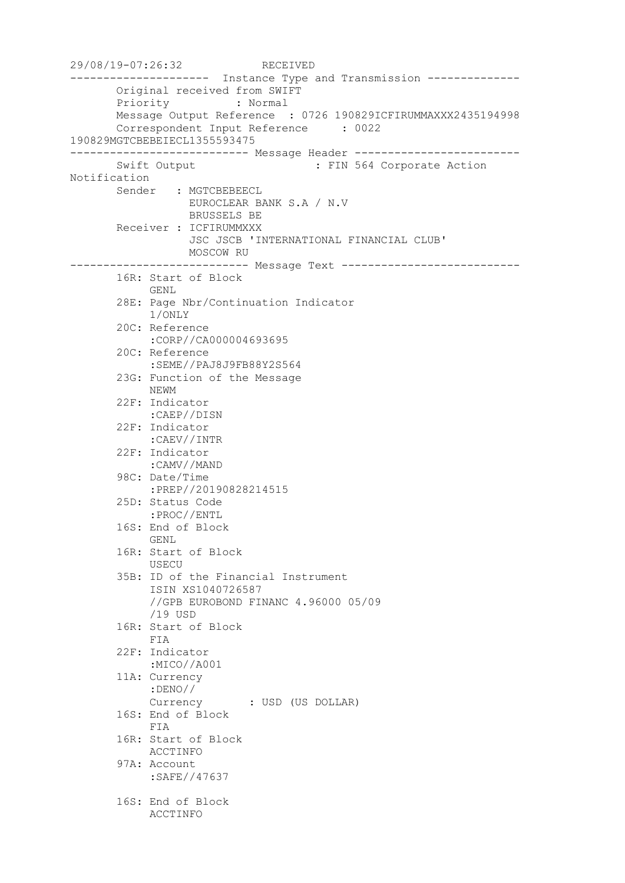29/08/19-07:26:32 RECEIVED --------------------- Instance Type and Transmission -------------- Original received from SWIFT Priority : Normal Message Output Reference : 0726 190829ICFIRUMMAXXX2435194998 Correspondent Input Reference : 0022 190829MGTCBEBEIECL1355593475 --------------------------- Message Header ------------------------- Swift Output : FIN 564 Corporate Action Notification Sender : MGTCBEBEECL EUROCLEAR BANK S.A / N.V BRUSSELS BE Receiver : ICFIRUMMXXX JSC JSCB 'INTERNATIONAL FINANCIAL CLUB' MOSCOW RU --------------------------- Message Text --------------------------- 16R: Start of Block GENL 28E: Page Nbr/Continuation Indicator 1/ONLY 20C: Reference :CORP//CA000004693695 20C: Reference :SEME//PAJ8J9FB88Y2S564 23G: Function of the Message NEWM 22F: Indicator :CAEP//DISN 22F: Indicator :CAEV//INTR 22F: Indicator :CAMV//MAND 98C: Date/Time :PREP//20190828214515 25D: Status Code :PROC//ENTL 16S: End of Block GENL 16R: Start of Block USECU 35B: ID of the Financial Instrument ISIN XS1040726587 //GPB EUROBOND FINANC 4.96000 05/09 /19 USD 16R: Start of Block FIA 22F: Indicator :MICO//A001 11A: Currency :DENO// Currency : USD (US DOLLAR) 16S: End of Block FIA 16R: Start of Block ACCTINFO 97A: Account :SAFE//47637 16S: End of Block ACCTINFO